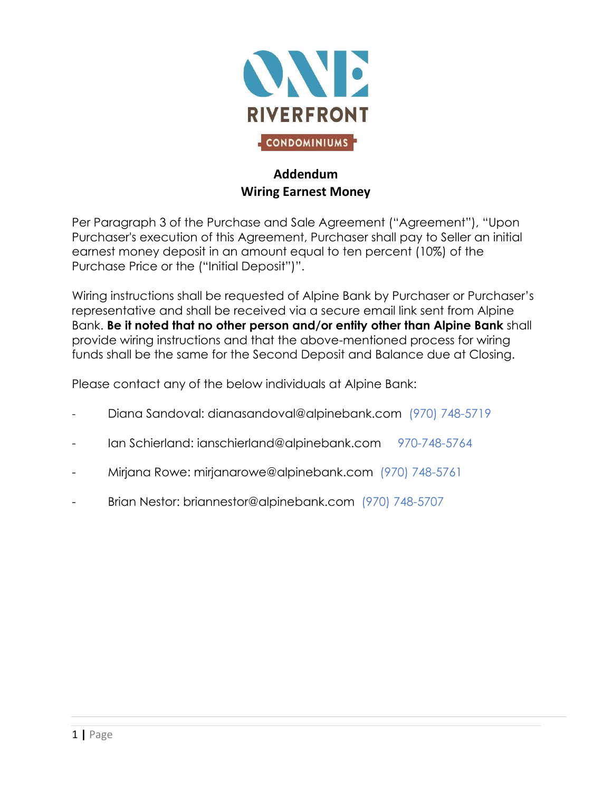

## **Addendum Wiring Earnest Money**

Per Paragraph 3 of the Purchase and Sale Agreement ("Agreement"), "Upon Purchaser's execution of this Agreement, Purchaser shall pay to Seller an initial earnest money deposit in an amount equal to ten percent (10%) of the Purchase Price or the ("Initial Deposit")".

Wiring instructions shall be requested of Alpine Bank by Purchaser or Purchaser's representative and shall be received via a secure email link sent from Alpine Bank. **Be it noted that no other person and/or entity other than Alpine Bank** shall provide wiring instructions and that the above-mentioned process for wiring funds shall be the same for the Second Deposit and Balance due at Closing.

Please contact any of the below individuals at Alpine Bank:

- Diana Sandoval: dianasandoval@alpinebank.com (970) 748-5719
- Ian Schierland: ianschierland@alpinebank.com 970-748-5764
- Mirjana Rowe: mirjanarowe@alpinebank.com (970) 748-5761
- Brian Nestor: briannestor@alpinebank.com (970) 748-5707